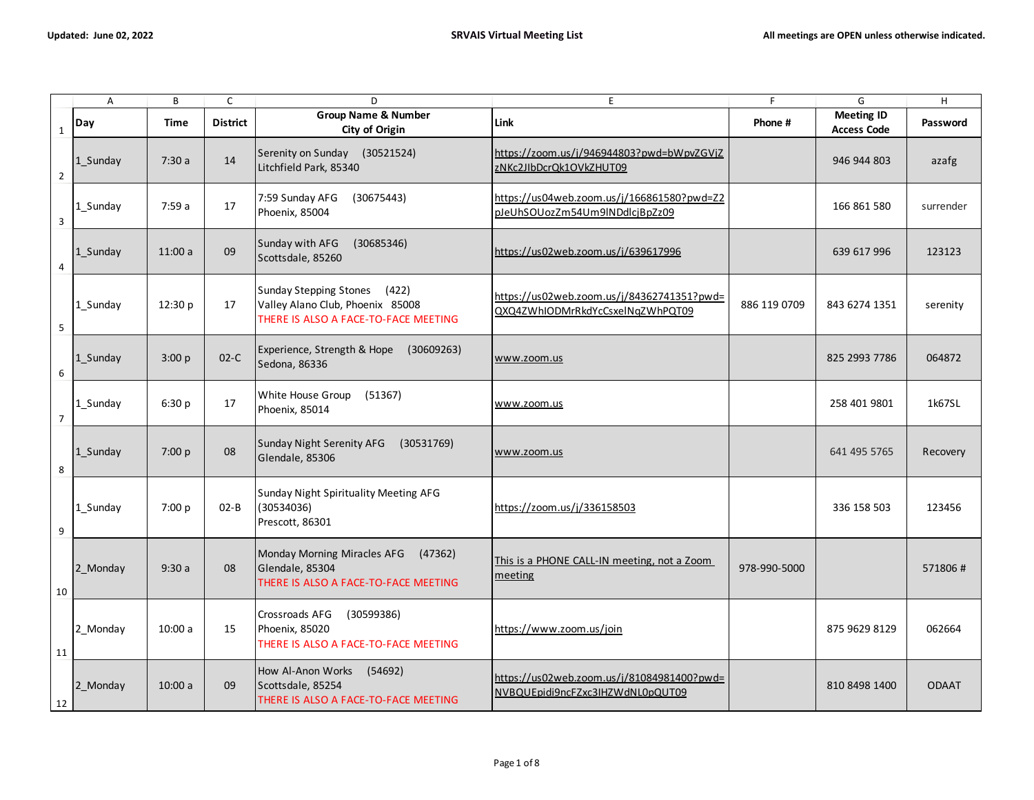|                | Α        | В           | $\mathsf{C}$    | D                                                                                                           | E                                                                              | F            | G                                       | H            |
|----------------|----------|-------------|-----------------|-------------------------------------------------------------------------------------------------------------|--------------------------------------------------------------------------------|--------------|-----------------------------------------|--------------|
| $\mathbf 1$    | Day      | <b>Time</b> | <b>District</b> | <b>Group Name &amp; Number</b><br>City of Origin                                                            | <b>Link</b>                                                                    | Phone #      | <b>Meeting ID</b><br><b>Access Code</b> | Password     |
| $\overline{2}$ | 1_Sunday | 7:30a       | 14              | Serenity on Sunday (30521524)<br>Litchfield Park, 85340                                                     | https://zoom.us/j/946944803?pwd=bWpvZGVjZ<br>zNKc2JIbDcrQk1OVkZHUT09           |              | 946 944 803                             | azafg        |
| $\mathbf{3}$   | 1 Sunday | 7:59a       | 17              | 7:59 Sunday AFG<br>(30675443)<br>Phoenix, 85004                                                             | https://us04web.zoom.us/j/166861580?pwd=Z2<br>pJeUhSOUozZm54Um9lNDdlcjBpZz09   |              | 166 861 580                             | surrender    |
| $\overline{4}$ | 1_Sunday | 11:00a      | 09              | Sunday with AFG<br>(30685346)<br>Scottsdale, 85260                                                          | https://us02web.zoom.us/j/639617996                                            |              | 639 617 996                             | 123123       |
| $\overline{5}$ | 1_Sunday | 12:30 p     | 17              | Sunday Stepping Stones<br>(422)<br>Valley Alano Club, Phoenix 85008<br>THERE IS ALSO A FACE-TO-FACE MEETING | https://us02web.zoom.us/j/84362741351?pwd=<br>QXQ4ZWhIODMrRkdYcCsxelNqZWhPQT09 | 886 119 0709 | 843 6274 1351                           | serenity     |
| $\,6\,$        | 1_Sunday | 3:00 p      | $02-C$          | Experience, Strength & Hope<br>(30609263)<br>Sedona, 86336                                                  | www.zoom.us                                                                    |              | 825 2993 7786                           | 064872       |
| $\overline{7}$ | 1_Sunday | 6:30 p      | 17              | White House Group<br>(51367)<br>Phoenix, 85014                                                              | www.zoom.us                                                                    |              | 258 401 9801                            | 1k67SL       |
| 8              | 1_Sunday | 7:00 p      | 08              | Sunday Night Serenity AFG<br>(30531769)<br>Glendale, 85306                                                  | www.zoom.us                                                                    |              | 641 495 5765                            | Recovery     |
| 9              | 1_Sunday | 7:00 p      | $02 - B$        | Sunday Night Spirituality Meeting AFG<br>(30534036)<br>Prescott, 86301                                      | https://zoom.us/j/336158503                                                    |              | 336 158 503                             | 123456       |
| 10             | 2 Monday | 9:30a       | 08              | Monday Morning Miracles AFG<br>(47362)<br>Glendale, 85304<br>THERE IS ALSO A FACE-TO-FACE MEETING           | This is a PHONE CALL-IN meeting, not a Zoom<br>meeting                         | 978-990-5000 |                                         | 571806#      |
| 11             | 2 Monday | 10:00a      | 15              | Crossroads AFG<br>(30599386)<br>Phoenix, 85020<br>THERE IS ALSO A FACE-TO-FACE MEETING                      | https://www.zoom.us/join                                                       |              | 875 9629 8129                           | 062664       |
| 12             | 2_Monday | 10:00a      | 09              | How Al-Anon Works<br>(54692)<br>Scottsdale, 85254<br>THERE IS ALSO A FACE-TO-FACE MEETING                   | https://us02web.zoom.us/j/81084981400?pwd=<br>NVBQUEpidi9ncFZxc3IHZWdNL0pQUT09 |              | 810 8498 1400                           | <b>ODAAT</b> |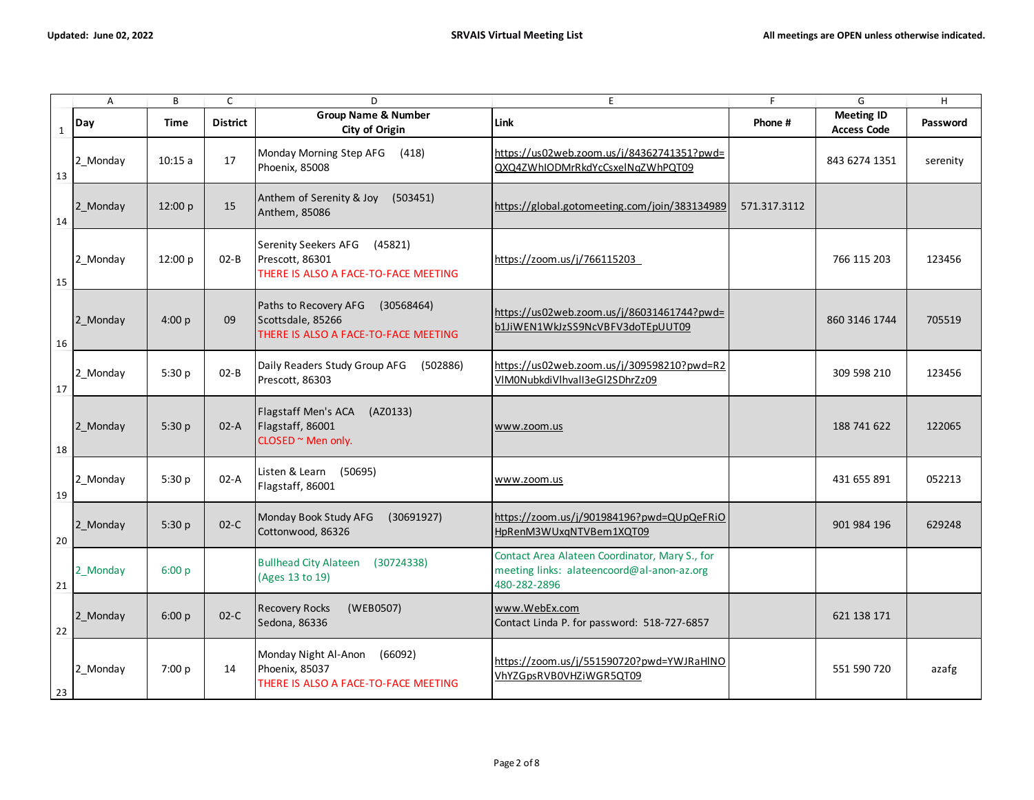|              | $\overline{A}$ | В       | $\mathsf{C}$    | D                                                                                                 | E.                                                                                                           | F            | G                                       | H        |
|--------------|----------------|---------|-----------------|---------------------------------------------------------------------------------------------------|--------------------------------------------------------------------------------------------------------------|--------------|-----------------------------------------|----------|
| $\mathbf{1}$ | Day            | Time    | <b>District</b> | <b>Group Name &amp; Number</b><br>City of Origin                                                  | Link                                                                                                         | Phone #      | <b>Meeting ID</b><br><b>Access Code</b> | Password |
| 13           | 2_Monday       | 10:15a  | 17              | Monday Morning Step AFG<br>(418)<br>Phoenix, 85008                                                | https://us02web.zoom.us/j/84362741351?pwd=<br>QXQ4ZWhIODMrRkdYcCsxelNgZWhPQT09                               |              | 843 6274 1351                           | serenity |
| 14           | 2 Monday       | 12:00 p | 15              | Anthem of Serenity & Joy<br>(503451)<br>Anthem, 85086                                             | https://global.gotomeeting.com/join/383134989                                                                | 571.317.3112 |                                         |          |
| 15           | 2 Monday       | 12:00 p | $02 - B$        | (45821)<br><b>Serenity Seekers AFG</b><br>Prescott, 86301<br>THERE IS ALSO A FACE-TO-FACE MEETING | https://zoom.us/j/766115203                                                                                  |              | 766 115 203                             | 123456   |
| 16           | 2_Monday       | 4:00 p  | 09              | Paths to Recovery AFG<br>(30568464)<br>Scottsdale, 85266<br>THERE IS ALSO A FACE-TO-FACE MEETING  | https://us02web.zoom.us/j/86031461744?pwd=<br>b1JiWEN1WkJzSS9NcVBFV3doTEpUUT09                               |              | 860 3146 1744                           | 705519   |
| 17           | 2 Monday       | 5:30 p  | $02 - B$        | Daily Readers Study Group AFG<br>(502886)<br>Prescott, 86303                                      | https://us02web.zoom.us/j/309598210?pwd=R2<br>VIM0NubkdiVlhvalI3eGl2SDhrZz09                                 |              | 309 598 210                             | 123456   |
| 18           | 2 Monday       | 5:30 p  | $02-A$          | Flagstaff Men's ACA<br>(AZ0133)<br>Flagstaff, 86001<br>CLOSED ~ Men only.                         | www.zoom.us                                                                                                  |              | 188 741 622                             | 122065   |
| 19           | 2 Monday       | 5:30 p  | $02-A$          | Listen & Learn (50695)<br>Flagstaff, 86001                                                        | www.zoom.us                                                                                                  |              | 431 655 891                             | 052213   |
| 20           | 2 Monday       | 5:30 p  | $02-C$          | Monday Book Study AFG<br>(30691927)<br>Cottonwood, 86326                                          | https://zoom.us/j/901984196?pwd=QUpQeFRiO<br>HpRenM3WUxqNTVBem1XQT09                                         |              | 901 984 196                             | 629248   |
| 21           | 2_Monday       | 6:00 p  |                 | <b>Bullhead City Alateen</b><br>(30724338)<br>(Ages 13 to 19)                                     | Contact Area Alateen Coordinator, Mary S., for<br>meeting links: alateencoord@al-anon-az.org<br>480-282-2896 |              |                                         |          |
| 22           | 2 Monday       | 6:00 p  | $02-C$          | <b>Recovery Rocks</b><br>(WEB0507)<br>Sedona, 86336                                               | www.WebEx.com<br>Contact Linda P. for password: 518-727-6857                                                 |              | 621 138 171                             |          |
| 23           | 2_Monday       | 7:00 p  | 14              | (66092)<br>Monday Night Al-Anon<br>Phoenix, 85037<br>THERE IS ALSO A FACE-TO-FACE MEETING         | https://zoom.us/j/551590720?pwd=YWJRaHINO<br>VhYZGpsRVB0VHZiWGR5QT09                                         |              | 551 590 720                             | azafg    |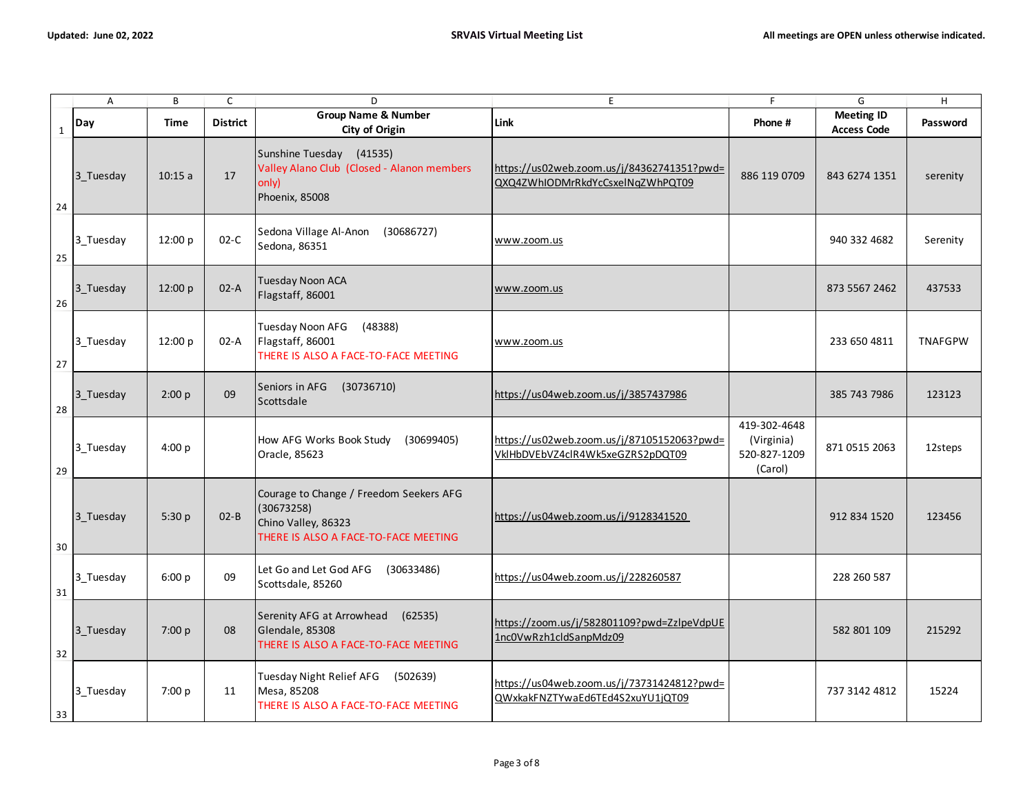|             | $\overline{A}$ | B           | $\mathsf{C}$    | D                                                                                                                    | E                                                                              | F                                                     | G                                       | H              |
|-------------|----------------|-------------|-----------------|----------------------------------------------------------------------------------------------------------------------|--------------------------------------------------------------------------------|-------------------------------------------------------|-----------------------------------------|----------------|
| $\mathbf 1$ | Day            | <b>Time</b> | <b>District</b> | <b>Group Name &amp; Number</b><br>City of Origin                                                                     | Link                                                                           | Phone #                                               | <b>Meeting ID</b><br><b>Access Code</b> | Password       |
| 24          | 3 Tuesday      | 10:15a      | 17              | Sunshine Tuesday (41535)<br>Valley Alano Club (Closed - Alanon members<br>only)<br>Phoenix, 85008                    | https://us02web.zoom.us/j/84362741351?pwd=<br>QXQ4ZWhIODMrRkdYcCsxelNqZWhPQT09 | 886 119 0709                                          | 843 6274 1351                           | serenity       |
| 25          | 3 Tuesday      | 12:00 p     | $02-C$          | Sedona Village Al-Anon<br>(30686727)<br>Sedona, 86351                                                                | www.zoom.us                                                                    |                                                       | 940 332 4682                            | Serenity       |
| 26          | 3_Tuesday      | 12:00 p     | $02-A$          | Tuesday Noon ACA<br>Flagstaff, 86001                                                                                 | www.zoom.us                                                                    |                                                       | 873 5567 2462                           | 437533         |
| 27          | 3_Tuesday      | 12:00 p     | $02-A$          | Tuesday Noon AFG<br>(48388)<br>Flagstaff, 86001<br>THERE IS ALSO A FACE-TO-FACE MEETING                              | www.zoom.us                                                                    |                                                       | 233 650 4811                            | <b>TNAFGPW</b> |
| 28          | 3 Tuesday      | 2:00 p      | 09              | Seniors in AFG<br>(30736710)<br>Scottsdale                                                                           | https://us04web.zoom.us/j/3857437986                                           |                                                       | 385 743 7986                            | 123123         |
| 29          | 3 Tuesday      | 4:00 p      |                 | How AFG Works Book Study<br>(30699405)<br>Oracle, 85623                                                              | https://us02web.zoom.us/j/87105152063?pwd=<br>VkIHbDVEbVZ4clR4Wk5xeGZRS2pDQT09 | 419-302-4648<br>(Virginia)<br>520-827-1209<br>(Carol) | 871 0515 2063                           | 12steps        |
| $30\,$      | 3 Tuesday      | 5:30 p      | $02 - B$        | Courage to Change / Freedom Seekers AFG<br>(30673258)<br>Chino Valley, 86323<br>THERE IS ALSO A FACE-TO-FACE MEETING | https://us04web.zoom.us/j/9128341520                                           |                                                       | 912 834 1520                            | 123456         |
| 31          | 3 Tuesday      | 6:00 p      | 09              | Let Go and Let God AFG<br>(30633486)<br>Scottsdale, 85260                                                            | https://us04web.zoom.us/j/228260587                                            |                                                       | 228 260 587                             |                |
| 32          | 3_Tuesday      | 7:00 p      | 08              | Serenity AFG at Arrowhead (62535)<br>Glendale, 85308<br>THERE IS ALSO A FACE-TO-FACE MEETING                         | https://zoom.us/j/582801109?pwd=ZzlpeVdpUE<br>1nc0VwRzh1cldSanpMdz09           |                                                       | 582 801 109                             | 215292         |
| 33          | 3 Tuesday      | 7:00 p      | 11              | Tuesday Night Relief AFG<br>(502639)<br>Mesa, 85208<br>THERE IS ALSO A FACE-TO-FACE MEETING                          | https://us04web.zoom.us/j/73731424812?pwd=<br>QWxkakFNZTYwaEd6TEd4S2xuYU1jQT09 |                                                       | 737 3142 4812                           | 15224          |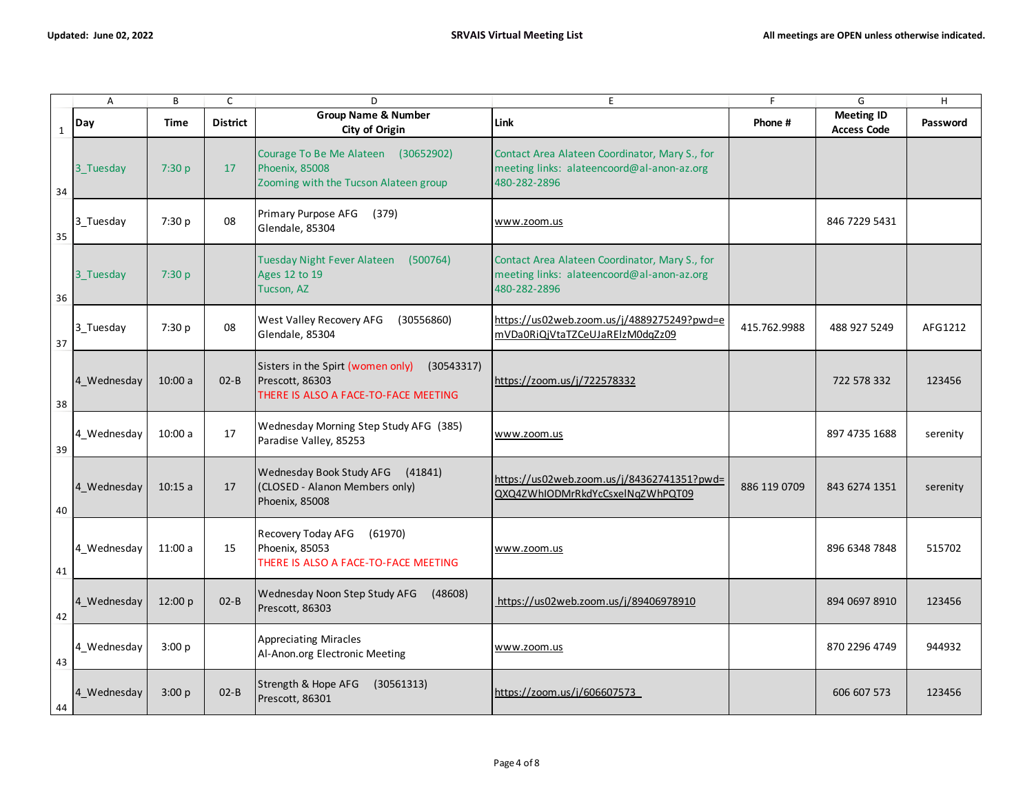|             | Α           | В       | $\mathsf{C}$    | D                                                                                                          | E                                                                                                            | F            | G                                       | H        |
|-------------|-------------|---------|-----------------|------------------------------------------------------------------------------------------------------------|--------------------------------------------------------------------------------------------------------------|--------------|-----------------------------------------|----------|
| $\mathbf 1$ | Day         | Time    | <b>District</b> | <b>Group Name &amp; Number</b><br><b>City of Origin</b>                                                    | Link                                                                                                         | Phone #      | <b>Meeting ID</b><br><b>Access Code</b> | Password |
| 34          | 3 Tuesday   | 7:30 p  | 17              | Courage To Be Me Alateen (30652902)<br><b>Phoenix, 85008</b><br>Zooming with the Tucson Alateen group      | Contact Area Alateen Coordinator, Mary S., for<br>meeting links: alateencoord@al-anon-az.org<br>480-282-2896 |              |                                         |          |
| 35          | 3 Tuesday   | 7:30 p  | 08              | Primary Purpose AFG<br>(379)<br>Glendale, 85304                                                            | www.zoom.us                                                                                                  |              | 846 7229 5431                           |          |
| 36          | 3 Tuesday   | 7:30 p  |                 | Tuesday Night Fever Alateen<br>(500764)<br>Ages 12 to 19<br>Tucson, AZ                                     | Contact Area Alateen Coordinator, Mary S., for<br>meeting links: alateencoord@al-anon-az.org<br>480-282-2896 |              |                                         |          |
| 37          | 3 Tuesday   | 7:30 p  | 08              | West Valley Recovery AFG<br>(30556860)<br>Glendale, 85304                                                  | https://us02web.zoom.us/j/4889275249?pwd=e<br>mVDa0RiQjVtaTZCeUJaRElzM0dqZz09                                | 415.762.9988 | 488 927 5249                            | AFG1212  |
| 38          | 4 Wednesday | 10:00a  | $02 - B$        | Sisters in the Spirt (women only)<br>(30543317)<br>Prescott, 86303<br>THERE IS ALSO A FACE-TO-FACE MEETING | https://zoom.us/j/722578332                                                                                  |              | 722 578 332                             | 123456   |
| 39          | 4 Wednesday | 10:00a  | 17              | Wednesday Morning Step Study AFG (385)<br>Paradise Valley, 85253                                           | www.zoom.us                                                                                                  |              | 897 4735 1688                           | serenity |
| 40          | 4 Wednesday | 10:15a  | 17              | Wednesday Book Study AFG<br>(41841)<br>(CLOSED - Alanon Members only)<br>Phoenix, 85008                    | https://us02web.zoom.us/j/84362741351?pwd=<br>QXQ4ZWhIODMrRkdYcCsxelNqZWhPQT09                               | 886 119 0709 | 843 6274 1351                           | serenity |
| 41          | 4 Wednesday | 11:00a  | 15              | Recovery Today AFG<br>(61970)<br>Phoenix, 85053<br>THERE IS ALSO A FACE-TO-FACE MEETING                    | www.zoom.us                                                                                                  |              | 896 6348 7848                           | 515702   |
| 42          | 4_Wednesday | 12:00 p | $02 - B$        | Wednesday Noon Step Study AFG<br>(48608)<br>Prescott, 86303                                                | https://us02web.zoom.us/j/89406978910                                                                        |              | 894 0697 8910                           | 123456   |
| 43          | 4 Wednesday | 3:00 p  |                 | <b>Appreciating Miracles</b><br>Al-Anon.org Electronic Meeting                                             | www.zoom.us                                                                                                  |              | 870 2296 4749                           | 944932   |
| 44          | 4 Wednesday | 3:00 p  | $O2-B$          | Strength & Hope AFG<br>(30561313)<br>Prescott, 86301                                                       | https://zoom.us/j/606607573                                                                                  |              | 606 607 573                             | 123456   |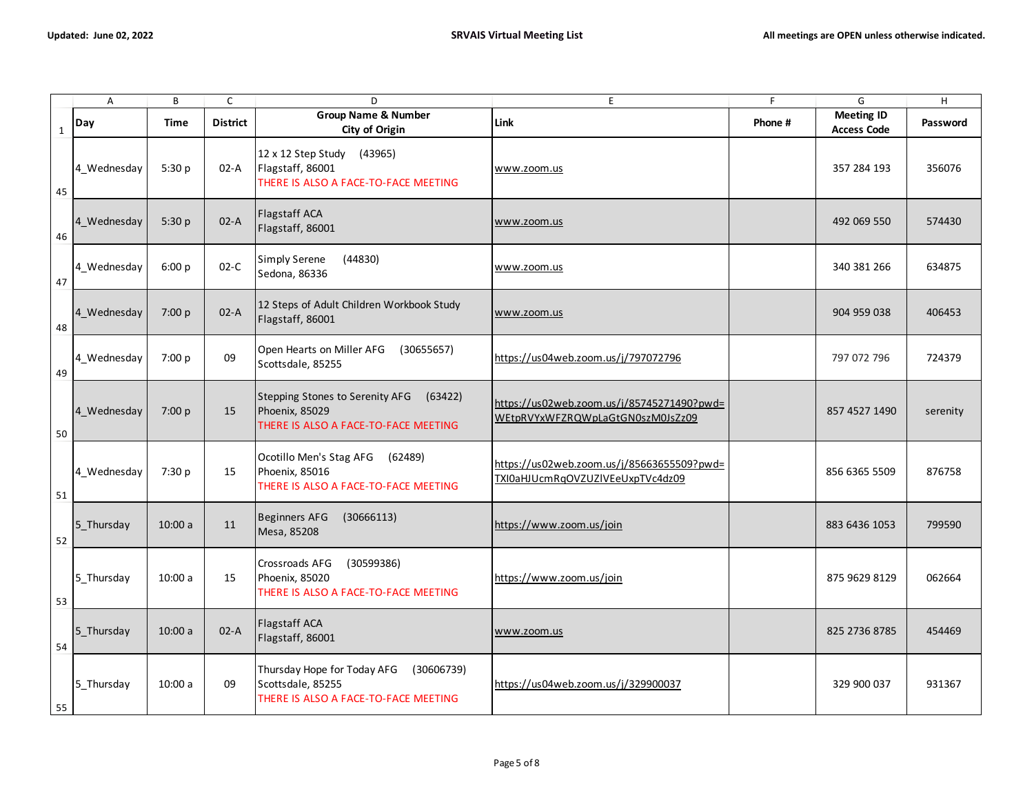|              | $\overline{A}$ | B      | $\mathsf{C}$    | D                                                                                                           | E                                                                              | F.      | G                                       | $\sf H$  |
|--------------|----------------|--------|-----------------|-------------------------------------------------------------------------------------------------------------|--------------------------------------------------------------------------------|---------|-----------------------------------------|----------|
| $\mathbf{1}$ | Day            | Time   | <b>District</b> | <b>Group Name &amp; Number</b><br>City of Origin                                                            | Link                                                                           | Phone # | <b>Meeting ID</b><br><b>Access Code</b> | Password |
| 45           | 4 Wednesday    | 5:30 p | $02-A$          | 12 x 12 Step Study<br>(43965)<br>Flagstaff, 86001<br>THERE IS ALSO A FACE-TO-FACE MEETING                   | www.zoom.us                                                                    |         | 357 284 193                             | 356076   |
| 46           | 4 Wednesday    | 5:30 p | $02-A$          | Flagstaff ACA<br>Flagstaff, 86001                                                                           | www.zoom.us                                                                    |         | 492 069 550                             | 574430   |
| 47           | 4 Wednesday    | 6:00 p | $02-C$          | Simply Serene<br>(44830)<br>Sedona, 86336                                                                   | www.zoom.us                                                                    |         | 340 381 266                             | 634875   |
| 48           | 4 Wednesday    | 7:00 p | $02-A$          | 12 Steps of Adult Children Workbook Study<br>Flagstaff, 86001                                               | www.zoom.us                                                                    |         | 904 959 038                             | 406453   |
| 49           | 4 Wednesday    | 7:00 p | 09              | Open Hearts on Miller AFG<br>(30655657)<br>Scottsdale, 85255                                                | https://us04web.zoom.us/j/797072796                                            |         | 797 072 796                             | 724379   |
| 50           | 4 Wednesday    | 7:00 p | 15              | <b>Stepping Stones to Serenity AFG</b><br>(63422)<br>Phoenix, 85029<br>THERE IS ALSO A FACE-TO-FACE MEETING | https://us02web.zoom.us/j/85745271490?pwd=<br>WEtpRVYxWFZRQWpLaGtGN0szM0JsZz09 |         | 857 4527 1490                           | serenity |
| 51           | 4_Wednesday    | 7:30 p | 15              | Ocotillo Men's Stag AFG<br>(62489)<br>Phoenix, 85016<br>THERE IS ALSO A FACE-TO-FACE MEETING                | https://us02web.zoom.us/j/85663655509?pwd=<br>TXI0aHJUcmRqOVZUZIVEeUxpTVc4dz09 |         | 856 6365 5509                           | 876758   |
| 52           | 5 Thursday     | 10:00a | 11              | <b>Beginners AFG</b><br>(30666113)<br>Mesa, 85208                                                           | https://www.zoom.us/join                                                       |         | 883 6436 1053                           | 799590   |
| 53           | 5_Thursday     | 10:00a | 15              | Crossroads AFG<br>(30599386)<br>Phoenix, 85020<br>THERE IS ALSO A FACE-TO-FACE MEETING                      | https://www.zoom.us/join                                                       |         | 875 9629 8129                           | 062664   |
| 54           | 5_Thursday     | 10:00a | $02-A$          | Flagstaff ACA<br>Flagstaff, 86001                                                                           | www.zoom.us                                                                    |         | 825 2736 8785                           | 454469   |
| 55           | 5_Thursday     | 10:00a | 09              | Thursday Hope for Today AFG<br>(30606739)<br>Scottsdale, 85255<br>THERE IS ALSO A FACE-TO-FACE MEETING      | https://us04web.zoom.us/j/329900037                                            |         | 329 900 037                             | 931367   |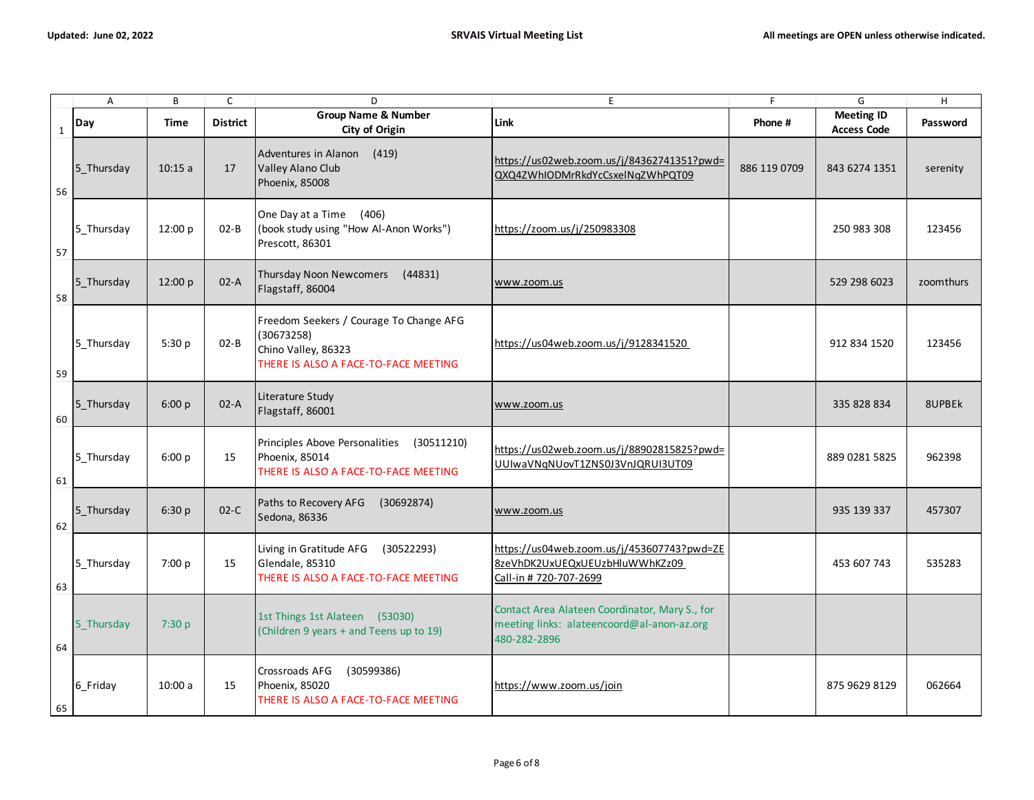|             | $\overline{A}$ | B           | $\mathsf{C}$    | D                                                                                                                    | E                                                                                                            | F            | G                                       | $\mathsf H$ |
|-------------|----------------|-------------|-----------------|----------------------------------------------------------------------------------------------------------------------|--------------------------------------------------------------------------------------------------------------|--------------|-----------------------------------------|-------------|
| $\mathbf 1$ | Day            | <b>Time</b> | <b>District</b> | <b>Group Name &amp; Number</b><br>City of Origin                                                                     | Link                                                                                                         | Phone #      | <b>Meeting ID</b><br><b>Access Code</b> | Password    |
| 56          | 5_Thursday     | 10:15a      | 17              | Adventures in Alanon<br>(419)<br>Valley Alano Club<br>Phoenix, 85008                                                 | https://us02web.zoom.us/j/84362741351?pwd=<br>QXQ4ZWhIODMrRkdYcCsxelNqZWhPQT09                               | 886 119 0709 | 843 6274 1351                           | serenity    |
| 57          | 5 Thursday     | 12:00 p     | $O2-B$          | One Day at a Time<br>(406)<br>(book study using "How Al-Anon Works")<br>Prescott, 86301                              | https://zoom.us/j/250983308                                                                                  |              | 250 983 308                             | 123456      |
| 58          | 5 Thursday     | 12:00 p     | $02-A$          | Thursday Noon Newcomers<br>(44831)<br>Flagstaff, 86004                                                               | www.zoom.us                                                                                                  |              | 529 298 6023                            | zoomthurs   |
| 59          | 5_Thursday     | 5:30 p      | $02 - B$        | Freedom Seekers / Courage To Change AFG<br>(30673258)<br>Chino Valley, 86323<br>THERE IS ALSO A FACE-TO-FACE MEETING | https://us04web.zoom.us/j/9128341520                                                                         |              | 912 834 1520                            | 123456      |
| 60          | 5_Thursday     | 6:00 p      | $02-A$          | Literature Study<br>Flagstaff, 86001                                                                                 | www.zoom.us                                                                                                  |              | 335 828 834                             | 8UPBEk      |
| 61          | 5 Thursday     | 6:00 p      | 15              | Principles Above Personalities<br>(30511210)<br>Phoenix, 85014<br>THERE IS ALSO A FACE-TO-FACE MEETING               | https://us02web.zoom.us/j/88902815825?pwd=<br>UUIwaVNqNUovT1ZNS0J3VnJQRUI3UT09                               |              | 889 0281 5825                           | 962398      |
| 62          | 5 Thursday     | 6:30 p      | $02-C$          | Paths to Recovery AFG<br>(30692874)<br>Sedona, 86336                                                                 | www.zoom.us                                                                                                  |              | 935 139 337                             | 457307      |
| 63          | 5 Thursday     | 7:00 p      | 15              | Living in Gratitude AFG<br>(30522293)<br>Glendale, 85310<br>THERE IS ALSO A FACE-TO-FACE MEETING                     | https://us04web.zoom.us/j/453607743?pwd=ZE<br>8zeVhDK2UxUEQxUEUzbHluWWhKZz09<br>Call-in # 720-707-2699       |              | 453 607 743                             | 535283      |
| 64          | 5 Thursday     | 7:30 p      |                 | 1st Things 1st Alateen (53030)<br>(Children 9 years + and Teens up to 19)                                            | Contact Area Alateen Coordinator, Mary S., for<br>meeting links: alateencoord@al-anon-az.org<br>480-282-2896 |              |                                         |             |
| 65          | 6_Friday       | 10:00a      | 15              | Crossroads AFG<br>(30599386)<br>Phoenix, 85020<br>THERE IS ALSO A FACE-TO-FACE MEETING                               | https://www.zoom.us/join                                                                                     |              | 875 9629 8129                           | 062664      |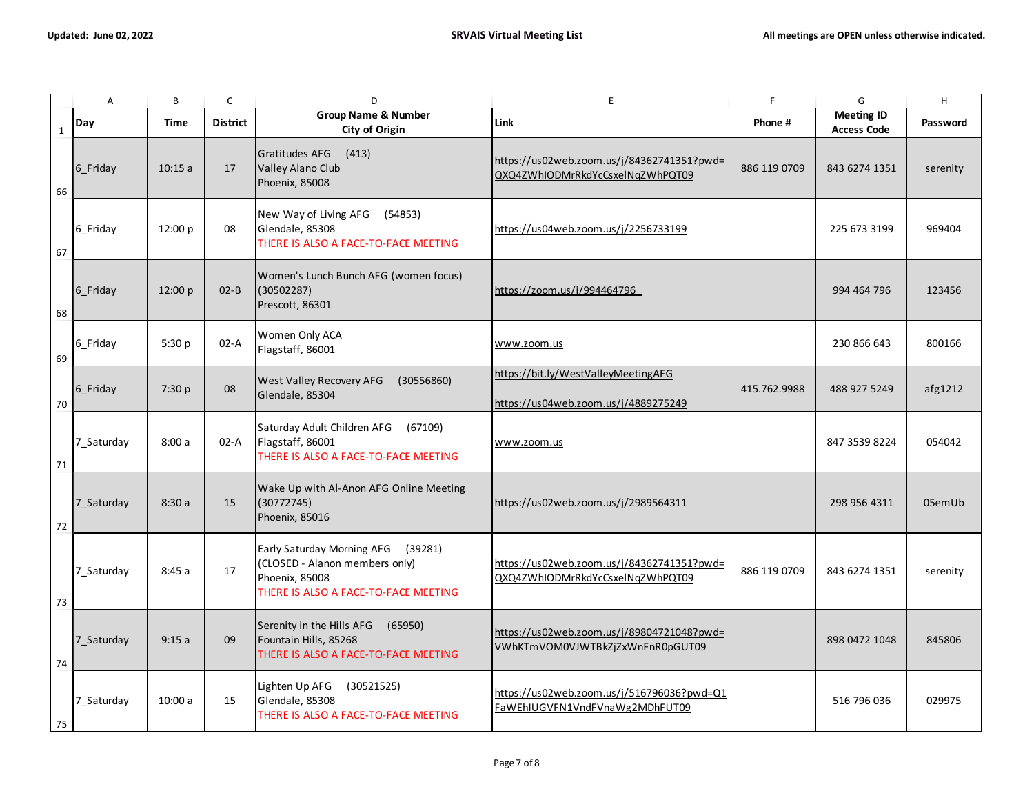|             | A          | В           | $\mathsf C$     | D                                                                                                                                 | E                                                                              | $\mathsf F$  | G                                       | Н        |
|-------------|------------|-------------|-----------------|-----------------------------------------------------------------------------------------------------------------------------------|--------------------------------------------------------------------------------|--------------|-----------------------------------------|----------|
| $\mathbf 1$ | Day        | <b>Time</b> | <b>District</b> | <b>Group Name &amp; Number</b><br>City of Origin                                                                                  | <b>Link</b>                                                                    | Phone #      | <b>Meeting ID</b><br><b>Access Code</b> | Password |
| 66          | 6_Friday   | 10:15a      | 17              | Gratitudes AFG<br>(413)<br>Valley Alano Club<br>Phoenix, 85008                                                                    | https://us02web.zoom.us/j/84362741351?pwd=<br>QXQ4ZWhIODMrRkdYcCsxelNqZWhPQT09 | 886 119 0709 | 843 6274 1351                           | serenity |
| 67          | 6 Friday   | 12:00 p     | 08              | New Way of Living AFG<br>(54853)<br>Glendale, 85308<br>THERE IS ALSO A FACE-TO-FACE MEETING                                       | https://us04web.zoom.us/j/2256733199                                           |              | 225 673 3199                            | 969404   |
| 68          | 6 Friday   | 12:00 p     | $02 - B$        | Women's Lunch Bunch AFG (women focus)<br>(30502287)<br>Prescott, 86301                                                            | https://zoom.us/j/994464796                                                    |              | 994 464 796                             | 123456   |
| 69          | 6_Friday   | 5:30 p      | $02-A$          | Women Only ACA<br>Flagstaff, 86001                                                                                                | www.zoom.us                                                                    |              | 230 866 643                             | 800166   |
| 70          | 6 Friday   | 7:30 p      | 08              | West Valley Recovery AFG<br>(30556860)<br>Glendale, 85304                                                                         | https://bit.ly/WestValleyMeetingAFG<br>https://us04web.zoom.us/j/4889275249    | 415.762.9988 | 488 927 5249                            | afg1212  |
| $71\,$      | 7_Saturday | 8:00a       | $02-A$          | Saturday Adult Children AFG<br>(67109)<br>Flagstaff, 86001<br>THERE IS ALSO A FACE-TO-FACE MEETING                                | www.zoom.us                                                                    |              | 847 3539 8224                           | 054042   |
| 72          | 7_Saturday | 8:30a       | 15              | Wake Up with Al-Anon AFG Online Meeting<br>(30772745)<br>Phoenix, 85016                                                           | https://us02web.zoom.us/j/2989564311                                           |              | 298 956 4311                            | 05emUb   |
| $73\,$      | 7 Saturday | 8:45a       | 17              | Early Saturday Morning AFG<br>(39281)<br>(CLOSED - Alanon members only)<br>Phoenix, 85008<br>THERE IS ALSO A FACE-TO-FACE MEETING | https://us02web.zoom.us/j/84362741351?pwd=<br>QXQ4ZWhIODMrRkdYcCsxelNqZWhPQT09 | 886 119 0709 | 843 6274 1351                           | serenity |
| 74          | 7_Saturday | 9:15a       | 09              | Serenity in the Hills AFG<br>(65950)<br>Fountain Hills, 85268<br>THERE IS ALSO A FACE-TO-FACE MEETING                             | https://us02web.zoom.us/j/89804721048?pwd=<br>VWhKTmVOM0VJWTBkZjZxWnFnR0pGUT09 |              | 898 0472 1048                           | 845806   |
| 75          | 7 Saturday | 10:00a      | 15              | Lighten Up AFG<br>(30521525)<br>Glendale, 85308<br>THERE IS ALSO A FACE-TO-FACE MEETING                                           | https://us02web.zoom.us/j/516796036?pwd=Q1<br>FaWEhIUGVFN1VndFVnaWg2MDhFUT09   |              | 516 796 036                             | 029975   |